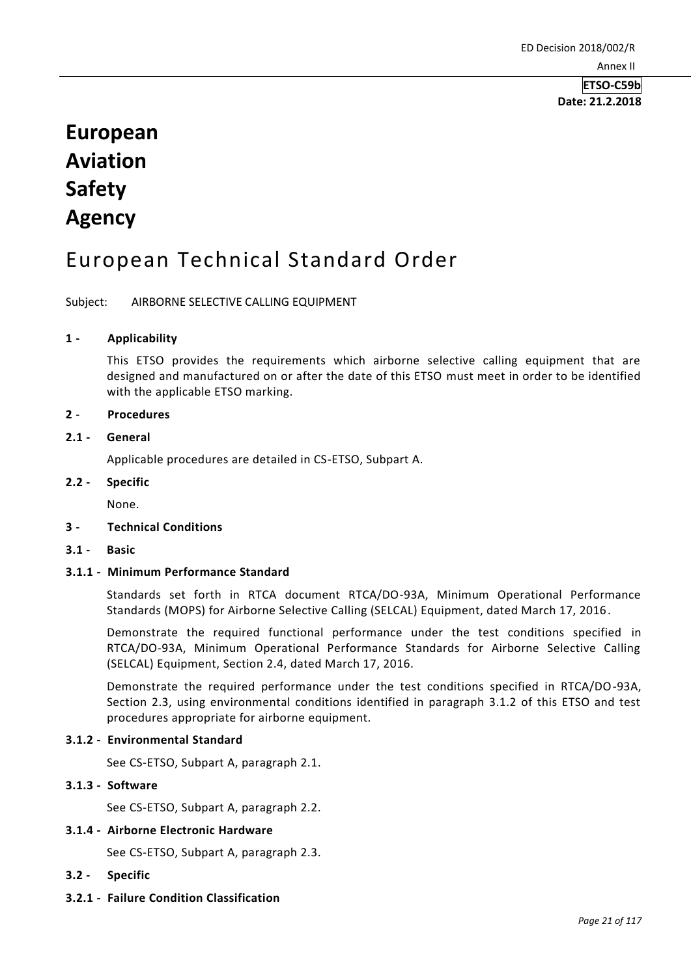**Date: 21.2.2018**

# **European Aviation Safety Agency**

## European Technical Standard Order

Subject: AIRBORNE SELECTIVE CALLING EQUIPMENT

## **1 - Applicability**

This ETSO provides the requirements which airborne selective calling equipment that are designed and manufactured on or after the date of this ETSO must meet in order to be identified with the applicable ETSO marking.

## **2** - **Procedures**

## **2.1 - General**

Applicable procedures are detailed in CS-ETSO, Subpart A.

## **2.2 - Specific**

None.

## **3 - Technical Conditions**

**3.1 - Basic**

## **3.1.1 - Minimum Performance Standard**

Standards set forth in RTCA document RTCA/DO-93A, Minimum Operational Performance Standards (MOPS) for Airborne Selective Calling (SELCAL) Equipment, dated March 17, 2016.

Demonstrate the required functional performance under the test conditions specified in RTCA/DO-93A, Minimum Operational Performance Standards for Airborne Selective Calling (SELCAL) Equipment, Section 2.4, dated March 17, 2016.

Demonstrate the required performance under the test conditions specified in RTCA/DO-93A, Section 2.3, using environmental conditions identified in paragraph 3.1.2 of this ETSO and test procedures appropriate for airborne equipment.

## **3.1.2 - Environmental Standard**

See CS-ETSO, Subpart A, paragraph 2.1.

## **3.1.3 - Software**

See CS-ETSO, Subpart A, paragraph 2.2.

## **3.1.4 - Airborne Electronic Hardware**

See CS-ETSO, Subpart A, paragraph 2.3.

- **3.2 - Specific**
- **3.2.1 - Failure Condition Classification**